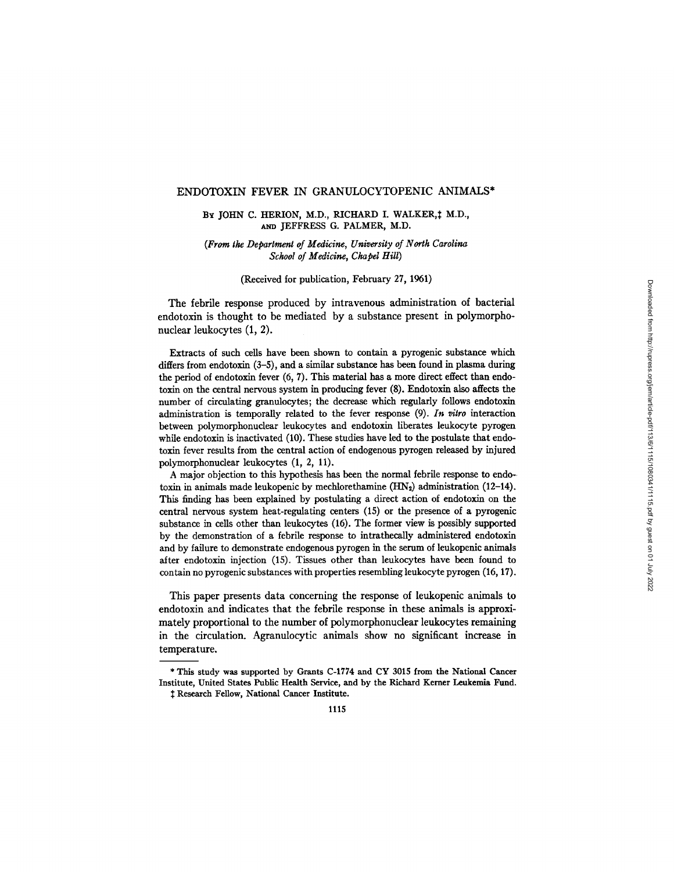#### ENDOTOXIN FEVER IN GRANULOCYTOPENIC ANIMALS\*

#### BY JOHN C. HERION, M.D., RICHARD I. WALKER, † M.D., AND JEFFRESS G. PALMER, M.D.

## *(From the Department of Medicine, University of North Carolina School of Medicine, Chapel Hill)*

(Received for publication, February 27, 1961)

The febrile response produced by intravenous administration of bacterial endotoxin is thought to be mediated by a substance present in polymorphonuclear leukocytes (1, 2).

Extracts of such cells have been shown to contain a pyrogenic substance which differs from endotoxin (3-5), and a similar substance has been found in plasma during the period of endotoxin fever (6, 7). This material has a more direct effect than endotoxin on the central nervous system in producing fever (8). Endotoxin also affects the number of circulating granulocytes; the decrease which regularly follows endotoxin administration is temporally related to the fever response (9). *In vitro* interaction between polymorphonuclear leukocytes and endotoxin liberates leukocyte pyrogen while endotoxin is inactivated (10). These studies have led to the postulate that endotoxin fever results from the central action of endogenous pyrogen released by injured polymorphonuclear leukocytes (1, 2, 11).

A major objection to this hypothesis has been the normal febrile response to endotoxin in animals made leukopenic by mechlorethamine  $(HN_2)$  administration (12-14). This finding has been explained by postulating a direct action of endotoxin on the central nervous system heat-regulating centers (15) or the presence of a pyrogenic substance in cells other than leukocytes (16). The former view is possibly supported by the demonstration of a febrile response to intrathecally administered endotoxin and by failure to demonstrate endogenous pyrogen in the serum of leukopenic animals after endotoxin injection (15). Tissues other than leukocytes have been found to contain no pyrogenic substances with properties resembling leukocyte pyrogen (16, 17).

This paper presents data concerning the response of leukopenic animals to endotoxin and indicates that the febrile response in these animals is approximately proportional to the number of polymorphonuclear leukocytes remaining in the circulation. Agranulocytic animals show no significant increase in temperature.

<sup>\*</sup> This study was supported by Grants C-1774 and CY 3015 from the National Cancer Institute, United States Public Health Service, and by the Richard Kemer Leukemia Fund. Research Fellow, National Cancer **Institute.**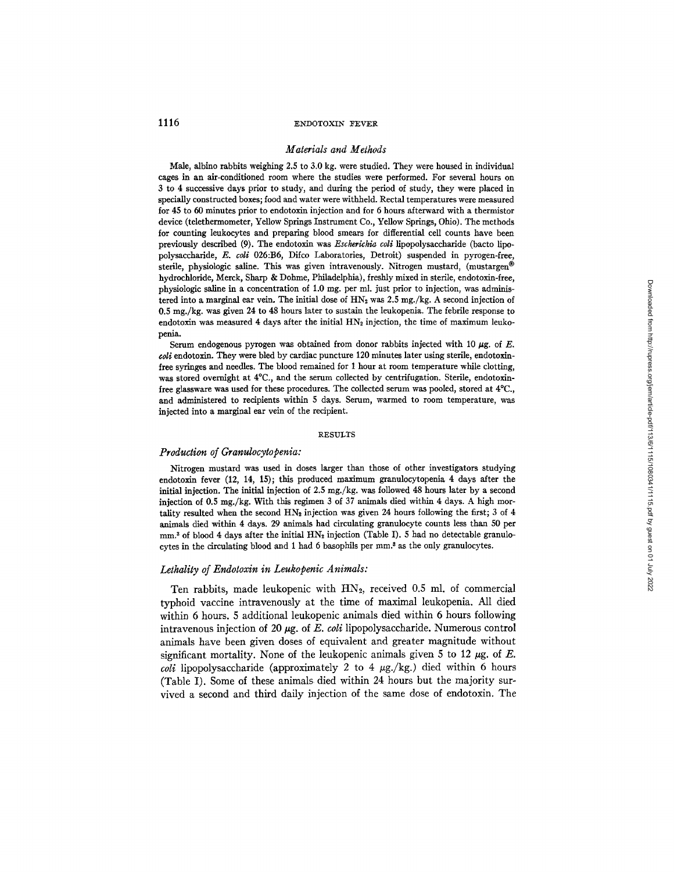#### *Materials and Methods*

Male, albino rabbits weighing 2.5 to 3.0 kg. were studied. They were housed in individual cages in an air-conditioned room where the studies were performed. For several hours on 3 to 4 successive days prior to study, and during the period of study, they were placed in specially constructed boxes; food and water were withheld. Rectal temperatures were measured for 45 to 60 minutes prior to endotoxin injection and for 5 hours afterward with a thermistor device (telethermometer, Yellow Springs Instrument Co., Yellow Springs, Ohio). The methods for counting leukocytes and preparing blood smears for differential cell counts have been previously described (9). The endotoxin was *Escherichia coli* lipopolysaccharide (bacto lipopolysaechaxide, *E. coli* 026:B6, Difco Laboratories, Detroit) suspended in pyrogen-free, sterile, physiologic saline. This was given intravenously. Nitrogen mustard, (mustargen® hydrochioride, Merck, Sharp & Dohme, Philadelphia), freshly mixed in sterile, endotoxin-free, physiologic saline in a concentration of 1.0 mg. per ml. just prior to injection, was administered into a marginal ear vein. The initial dose of  $HN<sub>2</sub>$  was 2.5 mg./kg. A second injection of 0.5 mg./kg, was given 24 to 48 hours later to sustain the leukopenia. The febrile response to endotoxin was measured 4 days after the initial  $HN<sub>2</sub>$  injection, the time of maximum leukopenia.

Serum endogenous pyrogen was obtained from donor rabbits injected with 10  $\mu$ g. of E. *coli* endotoxin. They were bled by cardiac puncture 120 minutes later using sterile, endotoxinfree syringes and needles. The blood remained for 1 hour at room temperature while dotting, was stored overnight at  $4^{\circ}$ C., and the serum collected by centrifugation. Sterile, endotoxinfree glassware was used for these procedures. The collected serum was pooled, stored at 4°C., and administered to recipients within 5 days. Serum, warmed to room temperature, was injected into a marginal ear vein of the recipient.

#### **RESULTS**

### *Production of Granulocytopenia:*

Nitrogen mustard was used in doses larger than those of other investigators studying endotoxin fever (12, 14, 15); this produced maximum granulocytopenia 4 days after the initial injection. The initial injection of 2.5 mg./kg, was followed 48 hours later by a second injection of 0.5 mg./kg. With this regimen 3 of 37 animals died within 4 days. A high mortality resulted when the second  $HN_2$  injection was given 24 hours following the first; 3 of 4 animals died within 4 days. 29 animals had circulating granulocyte counts less than 50 per mm.<sup>3</sup> of blood 4 days after the initial  $HN<sub>2</sub>$  injection (Table I). 5 had no detectable granulocytes in the circulating blood and  $1$  had  $6$  basophils per  $mm<sup>3</sup>$  as the only granulocytes.

## *Lethality of Endotoxin in Leukopenic Animals:*

Ten rabbits, made leukopenic with  $HN<sub>2</sub>$ , received 0.5 ml. of commercial typhoid vaccine intravenously at the time of maximal leukopenia. All died within 6 hours. 5 additional leukopenic animals died within 6 hours following intravenous injection of 20  $\mu$ g. of *E. coli* lipopolysaccharide. Numerous control animals have been given doses of equivalent and greater magnitude without significant mortality. None of the leukopenic animals given 5 to 12  $\mu$ g. of E. *coli* lipopolysaccharide (approximately 2 to 4  $\mu$ g./kg.) died within 6 hours (Table I). Some of these animals died within 24 hours but the majority survived a second and third daily injection of the same dose of endotoxin. The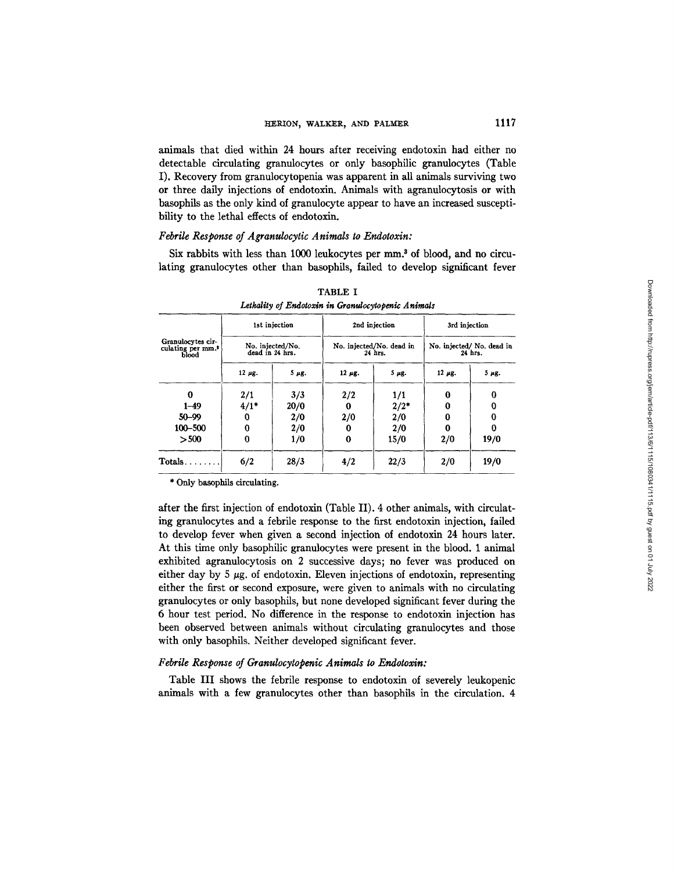animals that died within 24 hours after receiving endotoxin had either no detectable circulating granulocytes or only basophilic granulocytes (Table I). Recovery from granulocytopenia was apparent in all animals surviving two or three daily injections of endotoxin. Animals with agranulocytosis or with basophils as the only kind of granulocyte appear to have an increased susceptibility to the lethal effects of endotoxin.

## *Febrile Response of Agranulocytic Animals to Endotoxin:*

Six rabbits with less than  $1000$  leukocytes per  $mm<sup>3</sup>$  of blood, and no circulating granulocytes other than basophils, failed to develop significant fever

|                                                             |              | 1st injection                       |              | 2nd injection                       | 3rd injection<br>No. injected/ No. dead in<br>24 hrs. |                 |
|-------------------------------------------------------------|--------------|-------------------------------------|--------------|-------------------------------------|-------------------------------------------------------|-----------------|
| Granulocytes cir-<br>culating per mm. <sup>3</sup><br>blood |              | No. injected/No.<br>dead in 24 hrs. |              | No. injected/No. dead in<br>24 hrs. |                                                       |                 |
|                                                             | $12 \mu g$ . | $5 \mu g$ .                         | $12 \mu g$ . | $5 \mu g$ .                         | $12 \mu g$ .                                          | 5 <sub>HS</sub> |
| 0                                                           | 2/1          | 3/3                                 | 2/2          | 1/1                                 | $\bf{0}$                                              | 0               |
| $1 - 49$                                                    | $4/1*$       | 20/0                                | 0            | 2/2"                                | $\bf{0}$                                              | o               |
| $50 - 99$                                                   | 0            | 2/0                                 | 2/0          | 2/0                                 | 0                                                     | 0               |
| 100-500                                                     | $\bf{0}$     | 2/0                                 | 0            | 2/0                                 | 0                                                     | 0               |
| > 500                                                       | $\bf{0}$     | 1/0                                 | 0            | 15/0                                | 2/0                                                   | 19/0            |
| $Totals.$                                                   | 6/2          | 28/3                                | 4/2          | 22/3                                | 2/0                                                   | 19/0            |

TABLE I *Lethality of Endotoxin in Granulocytopenic Animals* 

\* Only basophils circulating.

after the first injection of endotoxin (Table II). 4 other animals, with circulating granulocytes and a febrile response to the first endotoxin injection, failed to develop fever when given a second injection of endotoxin 24 hours later. At this time only basophilic granulocytes were present in the blood. 1 animal exhibited agranulocytosis on 2 successive days; no fever was produced on either day by  $5 \mu g$ . of endotoxin. Eleven injections of endotoxin, representing either the first or second exposure, were given to animals with no circulating granulocytes or only basophils, but none developed significant fever during the 6 hour test period. No difference in the response to endotoxin injection has been observed between animals without circulating granulocytes and those with only basophils. Neither developed significant fever.

#### *Febrile Response of Granulocytopenic Animals to Endotoxin:*

Table III shows the febrile response to endotoxin of severely leukopenic animals with a few granulocytes other than basophils in the circulation. 4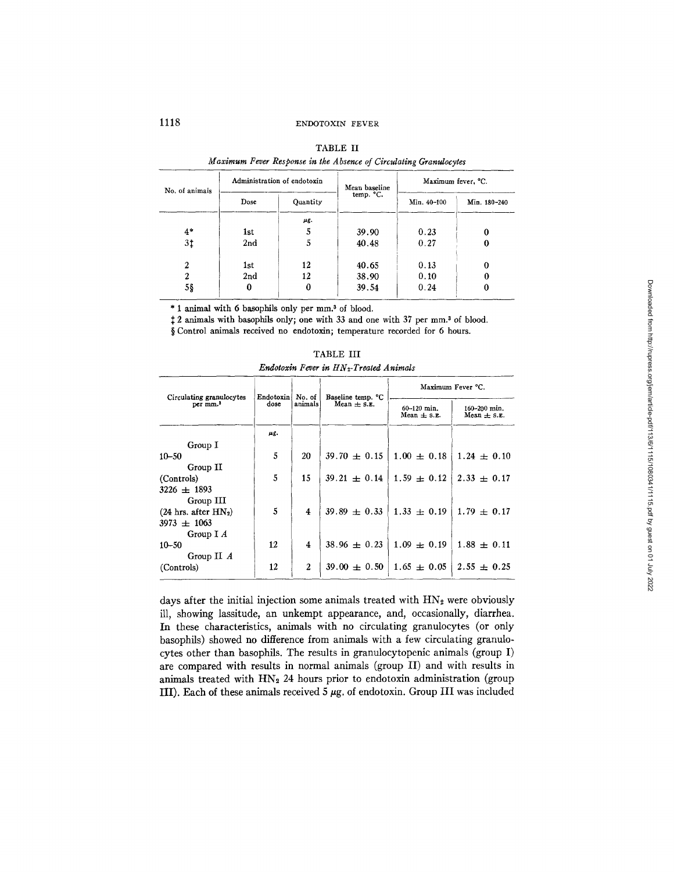| No. of animals |      | Administration of endotoxin | Mean baseline<br>temp. °C. | Maximum fever, °C. |              |  |
|----------------|------|-----------------------------|----------------------------|--------------------|--------------|--|
|                | Dose | Quantity                    |                            | Min. 40-100        | Min. 180-240 |  |
|                |      | μg.                         |                            |                    |              |  |
| $4*$           | 1st  |                             | 39.90                      | 0.23               |              |  |
| 3‡             | 2nd  |                             | 40.48                      | 0.27               |              |  |
| 2              | 1st  | 12                          | 40.65                      | 0.13               |              |  |
| 2              | 2nd  | 12                          | 38.90                      | 0.10               |              |  |
| 5§             | 0    |                             | 39.54                      | 0.24               |              |  |

|  |  | <b>TABLE II</b> |                                                                   |
|--|--|-----------------|-------------------------------------------------------------------|
|  |  |                 | Maximum Fever Response in the Absence of Circulating Granulocytes |

\* 1 animal with 6 basophils only per mm. 3 of blood.

2 animals with basophils only; one with 33 and one with 37 per mm. 3 of blood.

| S Control animals received no endotoxin; temperature recorded for 6 hours. |  |  |  |  |  |  |
|----------------------------------------------------------------------------|--|--|--|--|--|--|
|----------------------------------------------------------------------------|--|--|--|--|--|--|

|                                                  |                   | No. of<br>animals   |                                      | Maximum Fever °C.                               |                                   |  |
|--------------------------------------------------|-------------------|---------------------|--------------------------------------|-------------------------------------------------|-----------------------------------|--|
| Circulating granulocytes<br>per mm. <sup>3</sup> | Endotoxin<br>dose |                     | Baseline temp. °C<br>Mean $\pm$ s.x. | $60 - 120$ min.<br>Mean $\pm$ s. $\mathbf{z}$ . | 160-200 min.<br>Mean $\pm$ s. E.  |  |
|                                                  | μg.               |                     |                                      |                                                 |                                   |  |
| Group I                                          |                   |                     |                                      |                                                 |                                   |  |
| $10 - 50$                                        | 5                 | 20                  | $39.70 \pm 0.15$                     | $1.00 \pm 0.18$                                 | $1.24 \pm 0.10$                   |  |
| Group II                                         |                   |                     |                                      |                                                 |                                   |  |
| (Controls)                                       | 5                 | 15                  | $39.21 \pm 0.14 \pm 1.59 \pm 0.12$   |                                                 | $2.33 \pm 0.17$                   |  |
| $3226 + 1893$                                    |                   |                     |                                      |                                                 |                                   |  |
| Group III                                        |                   |                     |                                      |                                                 |                                   |  |
| $(24 \text{ hrs. after HN}_2)$                   | 5                 | 4                   | $39.89 \pm 0.33$                     | $1.33 \pm 0.19$                                 | $1.79 \pm 0.17$                   |  |
| $3973 \pm 1063$                                  |                   |                     |                                      |                                                 |                                   |  |
| Group $I \, A$                                   |                   |                     |                                      |                                                 |                                   |  |
| $10 - 50$                                        | 12                | $\overline{\bf{4}}$ | $38.96 + 0.23$                       | $1.09 \pm 0.19$                                 | $1.88 \pm 0.11$                   |  |
| Group II $\Lambda$                               |                   |                     |                                      |                                                 |                                   |  |
| (Controls)                                       | 12                | $\mathbf{2}$        | $39.00 \pm 0.50$                     |                                                 | $1.65 \pm 0.05$   $2.55 \pm 0.25$ |  |

TABLE III *Endotoxin Fever in HN~-Treated Animals* 

days after the initial injection some animals treated with  $HN<sub>2</sub>$  were obviously ill, showing lassitude, an unkempt appearance, and, occasionally, diarrhea. In these characteristics, animals with no circulating granulocytes (or only basophils) showed no difference from animals with a few circulating granulocytes other than basophils. The results in granulocytopenic animals (group I) are compared with results in normal animals (group II) and with results in animals treated with  $HN<sub>2</sub> 24$  hours prior to endotoxin administration (group III). Each of these animals received  $5 \mu$ g, of endotoxin. Group III was included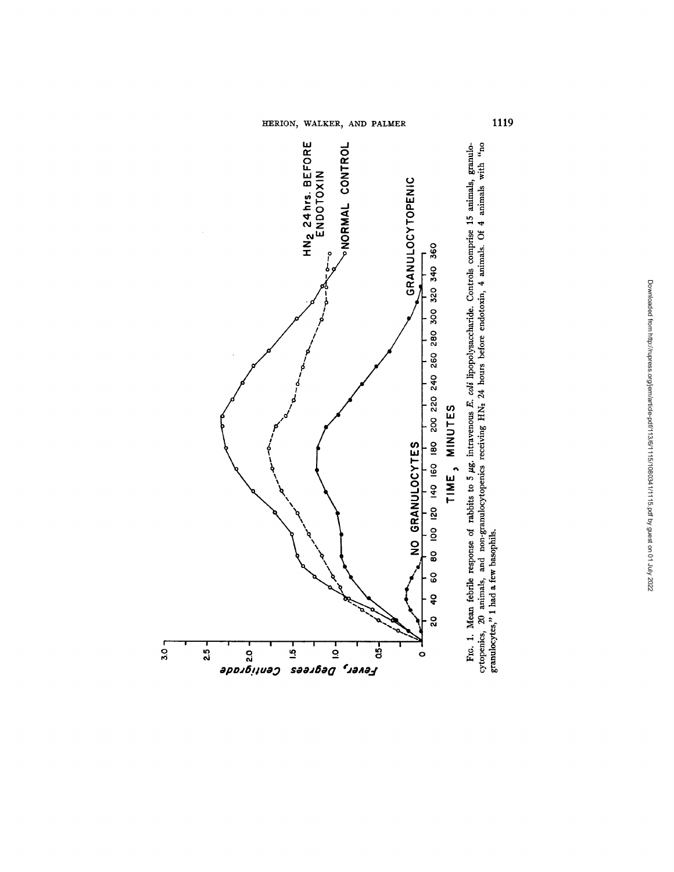HERION, WALKER, AND PALMER



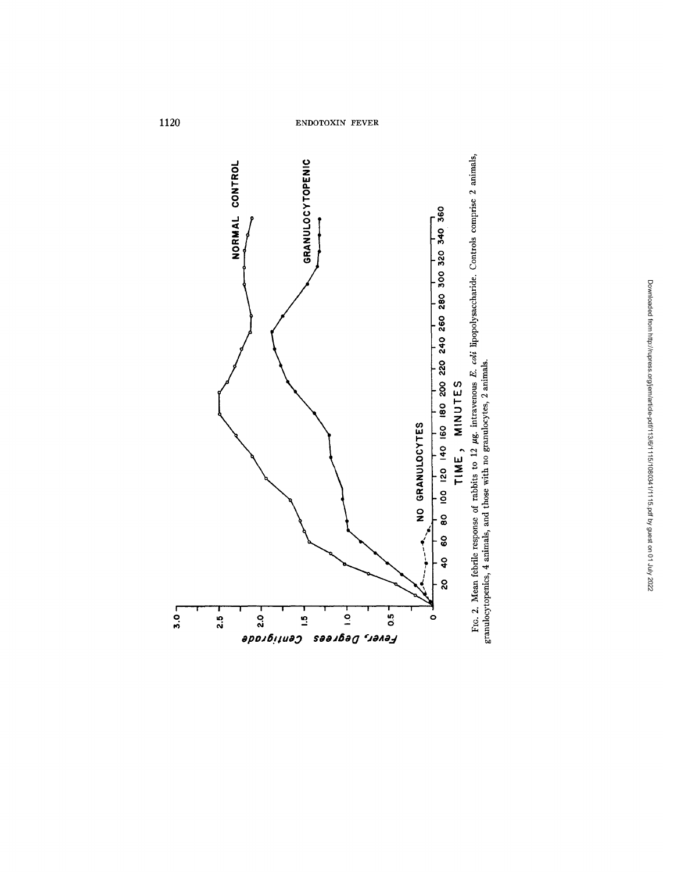

Fig. 2. Mean febrile response of rabbits to 12  $\mu$ g. intravenous *E. coli* lipopolysaccharide. Controls comprise 2 animals, granulocytopenics, 4 animals, and those with no granulocytes, 2 animals.

 $3.0 -$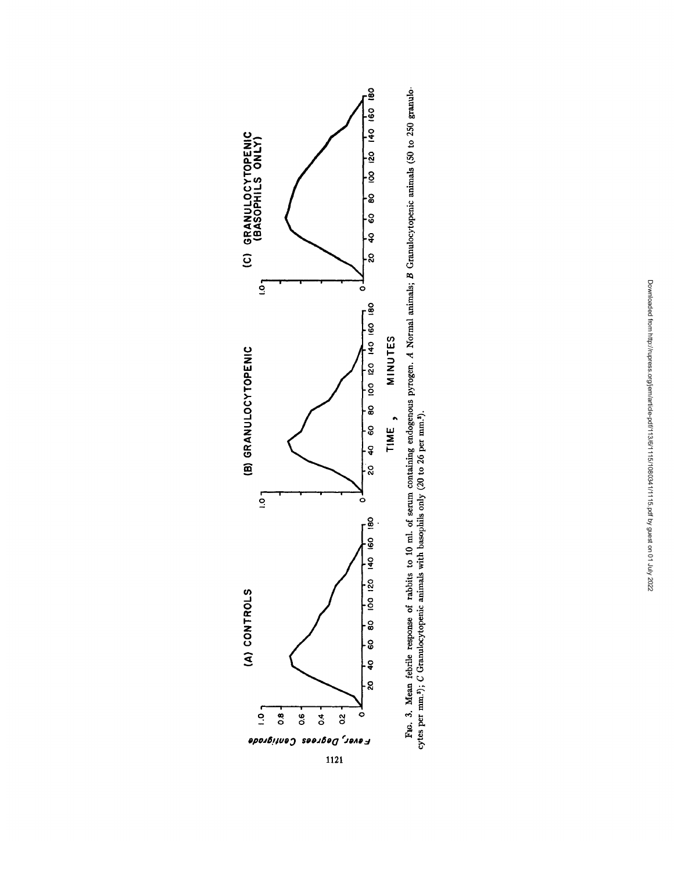

*~g*   $\overline{\phantom{a}}$  .  $_{2}$   $\vec{z}$ ⊖<br>금·들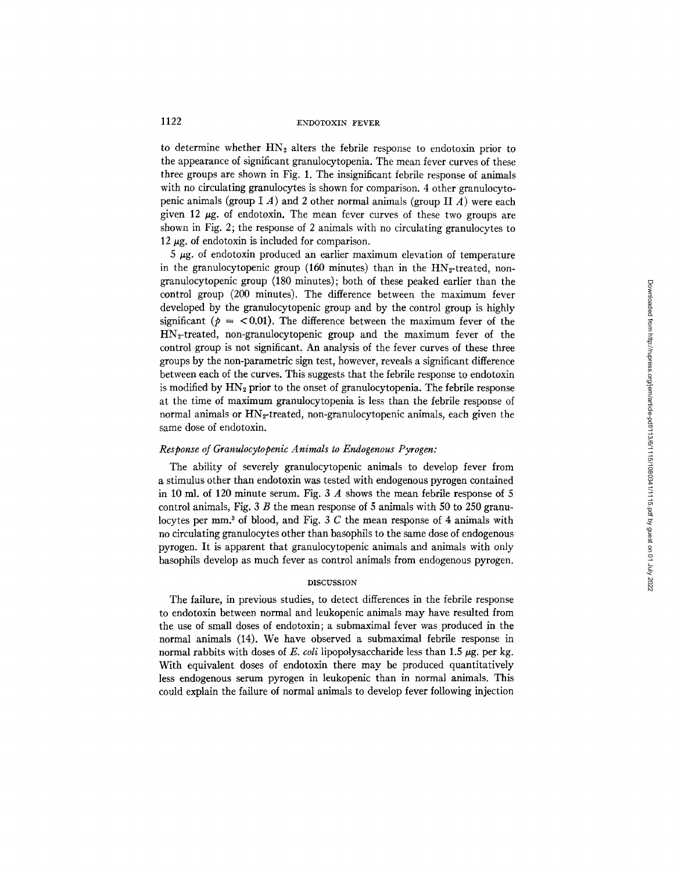to determine whether  $HN_2$  alters the febrile response to endotoxin prior to the appearance of significant granulocytopenia. The mean fever curves of these three groups are shown in Fig. 1. The insignificant febrile response of animals with no circulating granulocytes is shown for comparison. 4 other granulocytopenic animals (group I A) and 2 other normal animals (group II A) were each given 12  $\mu$ g. of endotoxin. The mean fever curves of these two groups are shown in Fig. 2; the response of 2 animals with no circulating granulocytes to 12  $\mu$ g. of endotoxin is included for comparison.

 $5 \mu$ g. of endotoxin produced an earlier maximum elevation of temperature in the granulocytopenic group (160 minutes) than in the  $HN_2$ -treated, nongranulocytopenic group (180 minutes); both of these peaked earlier than the control group (200 minutes). The difference between the maximum fever developed by the granulocytopenic group and by the control group is highly significant ( $p = < 0.01$ ). The difference between the maximum fever of the HN2-treated, non-granulocytopenic group and the maximum fever of the control group is not significant. An analysis of the fever curves of these three groups by the non-parametric sign test, however, reveals a significant difference between each of the curves. This suggests that the febrile response to endotoxin is modified by  $HN_2$  prior to the onset of granulocytopenia. The febrile response at the time of maximum granulocytopenia is less than the febrile response of normal animals or  $HN<sub>2</sub>$ -treated, non-granulocytopenic animals, each given the same dose of endotoxin.

# *Response of Granulocytopenic Animals to Endogenous Pyrogen:*

The ability of severely granulocytopenic animals to develop fever from a stimulus other than endotoxin was tested with endogenous pyrogen contained in 10 ml. of 120 minute serum. Fig. 3  $\Lambda$  shows the mean febrile response of 5 control animals, Fig.  $3 \, B$  the mean response of  $5$  animals with  $50$  to  $250$  granulocytes per mm<sup>3</sup> of blood, and Fig. 3 C the mean response of 4 animals with no circulating granulocytes other than basophils to the same dose of endogenous pyrogen. It is apparent that granulocytopenic animals and animals with only basophils develop as much fever as control animals from endogenous pyrogen.

### DISCUSSION

The failure, in previous studies, to detect differences in the febrile response to endotoxin between normal and leukopenic animals may have resulted from the use of small doses of endotoxin, a submaximal fever was produced in the normal animals (14). We have observed a submaximal febrile response in normal rabbits with doses of *E. coli* lipopolysaccharide less than 1.5  $\mu$ g. per kg. With equivalent doses of endotoxin there may be produced quantitatively less endogenous serum pyrogen in leukopenic than in normal animals. This could explain the failure of normal animals to develop fever following injection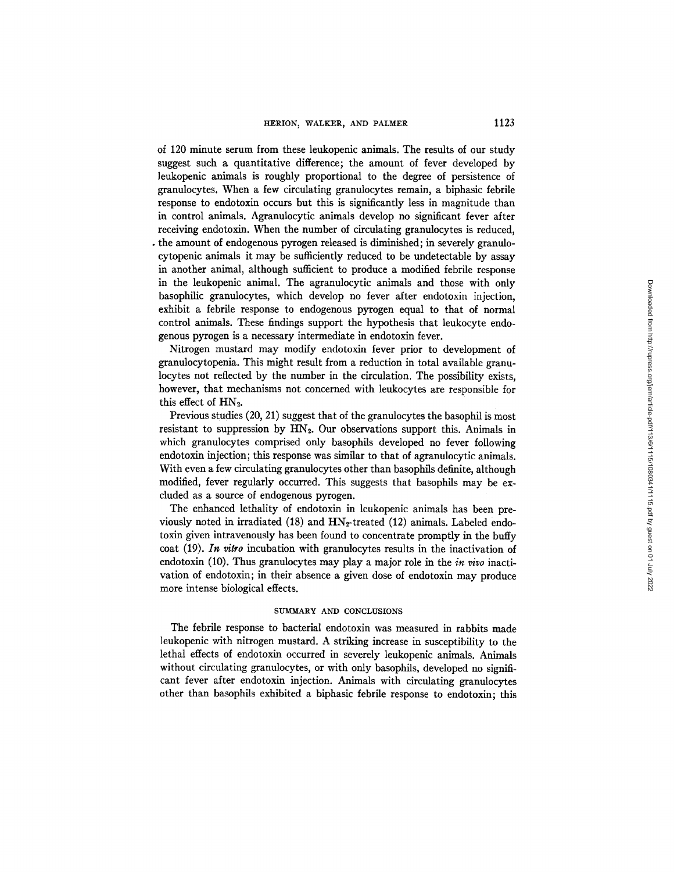of 120 minute serum from these leukopenic animals. The results of our study suggest such a quantitative difference; the amount of fever developed by leukopenic animals is roughly proportional to the degree of persistence of granulocytes. When a few circulating granulocytes remain, a biphasic febrile response to endotoxin occurs but this is significantly less in magnitude than in control animals. Agranulocytic animals develop no significant fever after receiving endotoxin. When the number of circulating granulocytes is reduced, • the amount of endogenous pyrogen released is diminished; in severely granulocytopenic animals it may be sufficiently reduced to be undetectable by assay in another animal, although sufficient to produce a modified febrile response in the leukopenic animal. The agranulocytic animals and those with only basophilic granulocytes, which develop no fever after endotoxin injection, exhibit a febrile response to endogenous pyrogen equal to that of normal control animals. These findings support the hypothesis that leukocyte endogenous pyrogen is a necessary intermediate in endotoxin fever.

Nitrogen mustard may modify endotoxin fever prior to development of granulocytopenia. This might result from a reduction in total available granulocytes not reflected by the number in the circulation. The possibility exists, however, that mechanisms not concerned with leukocytes are responsible for this effect of  $HN<sub>2</sub>$ .

Previous studies (20, 21) suggest that of the granulocytes the basophil is most resistant to suppression by  $HN<sub>2</sub>$ . Our observations support this. Animals in which granulocytes comprised only basophils developed no fever following endotoxin injection; this response was similar to that of agranulocytic animals. With even a few circulating granulocytes other than basophils definite, although modified, fever regularly occurred. This suggests that basophils may be excluded as a source of endogenous pyrogen.

The enhanced lethality of endotoxin in leukopenic animals has been previously noted in irradiated (18) and  $HN<sub>2</sub>$ -treated (12) animals. Labeled endotoxin given intravenously has been found to concentrate promptly in the buffy coat (19). *In vitro* incubation with granulocytes results in the inactivation of endotoxin (10). Thus granulocytes may play a major role in the *in vivo* inactivation of endotoxin; in their absence a given dose of endotoxin may produce more intense biological effects.

#### SUMMARY AND CONCLUSIONS

The febrile response to bacterial endotoxin was measured in rabbits made leukopenic with nitrogen mustard. A striking increase in susceptibility to the lethal effects of endotoxin occurred in severely leukopenic animals. Animals without circulating granulocytes, or with only basophils, developed no significant fever after endotoxin injection. Animals with circulating granulocytes other than basophils exhibited a biphasic febrile response to endotoxin; this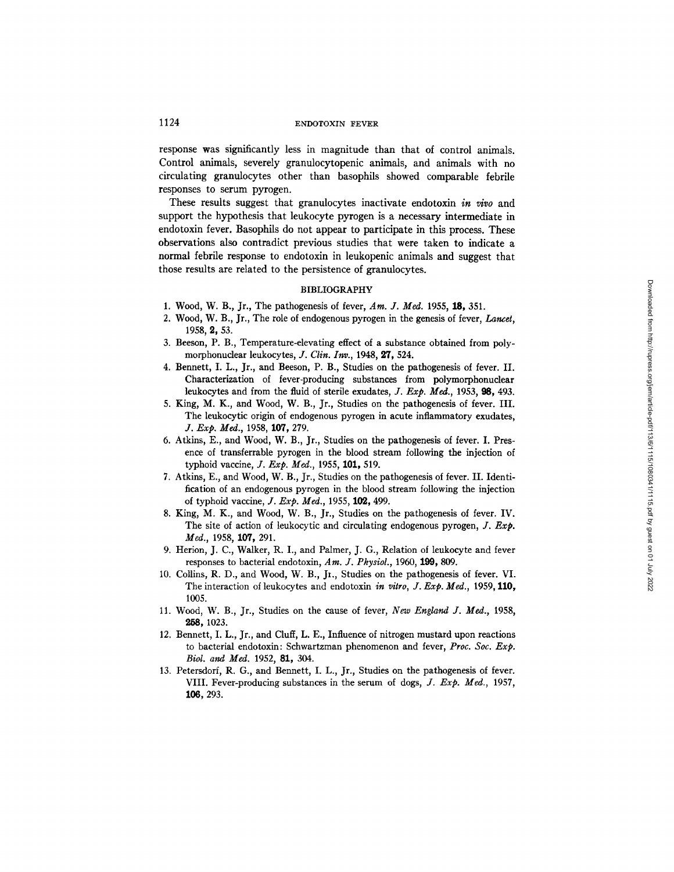response was significantly less in magnitude than that of control animals. Control animals, severely granulocytopenic animals, and animals with no circulating granulocytes other than basophils showed comparable febrile responses to serum pyrogen.

These results suggest that granulocytes inactivate endotoxin *in vivo* and support the hypothesis that leukocyte pyrogen is a necessary intermediate in endotoxin fever. Basophils do not appear to participate in this process. These observations also contradict previous studies that were taken to indicate a normal febrile response to endotoxin in leukopenic animals and suggest that those results are related to the persistence of granulocytes.

#### BIBLIOGRAPHY

- 1. Wood, W. B., Jr., The pathogenesis of fever, *Am. J. Meal.* 1955, 18, 351.
- 2. Wood, W. B., Jr., The role of endogenous pyrogen in the genesis of fever, *Lancet,*  1958, 2, 53.
- 3. Beeson, P. B., Temperature-elevating effect of a substance obtained from polymorphonuclear leukocytes, *J. Clin. Inv.*, 1948, 27, 524.
- 4. Bennett, I. L., Jr., and Beeson, P. B., Studies on the pathogenesis of fever. II. Characterization of fever-producing substances from polymorphonuclear leukocytes and from the fluid of sterile exudates, *J. Exp. Meal.,* 1953, 98, 493.
- 5. King, M. K., and Wood, W. B., Jr., Studies on the pathogenesis of fever. III. The leukocytic origin of endogenous pyrogen in acute inflammatory exudates, *J. Exp. Med.,* 1958, 107, 279.
- 6. Atkins, E., and Wood, W. B., Jr., Studies on the pathogenesis of fever. I. Presence of transferrable pyrogen in the blood stream following the injection of typhoid vaccine, *J. Exp. Meal.,* 1955, 101, 519.
- 7. Atkins, E., and Wood, W. B., Jr., Studies on the pathogenesis of fever. II. Identification of an endogenous pyrogen in the blood stream following the injection of typhoid vaccine, *J. Exp. Med.,* 1955, 102, 499.
- 8. King, M. K., and Wood, W. B., Jr., Studies on the pathogenesis of fever. IV. The site of action of leukocytic and circulating endogenous pyrogen, *J. Exp. Med.,* 1958, 107, 291.
- 9. Herion, J. C., Walker, R. I., and Palmer, J. G., Relation of leukocyte and fever responses to bacterial endotoxin, *Am. J. Physiol.,* 1960, 199, 809.
- 10. Collins, R. D., and Wood, W. B., Jr., Studies on the pathogenesis of fever. VI. The interaction of leukocytes and endotoxin *in vitro, J. Exp. Med.,* 1959, 110, 1005.
- 11. Wood, W. B., Jr., Studies on the cause of fever, *New England J. Med.,* 1958, 258, 1023.
- 12. Bennett, I. L., Jr., and Cluff, L. E., Influence of nitrogen mustard upon reactions to bacterial endotoxin: Schwartzman phenomenon and fever, *Proc. Soc. Exp. Biol. and Med.* 1952, 81, 304.
- 13. Petersdorf, R. G., and Bennett, I. L., Jr., Studies on the pathogenesis of fever. VIII. Fever-producing substances in the serum of dogs, *J. Exp. Med.,* 1957, ].06, 293.